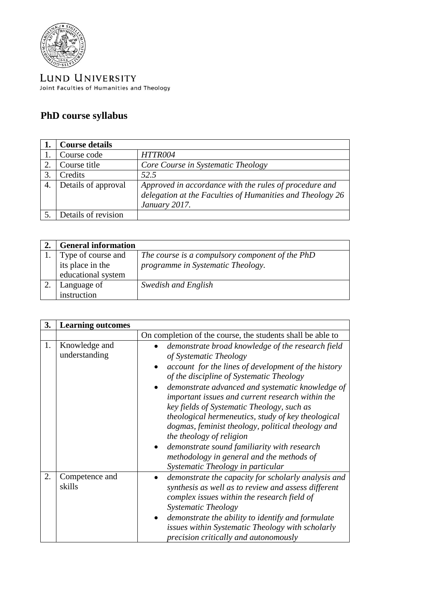

LUND UNIVERSITY Joint Faculties of Humanities and Theology

## **PhD course syllabus**

|    | <b>Course details</b> |                                                                                                                                      |
|----|-----------------------|--------------------------------------------------------------------------------------------------------------------------------------|
|    | Course code           | HTTR004                                                                                                                              |
|    | Course title          | Core Course in Systematic Theology                                                                                                   |
| 3  | Credits               | 52.5                                                                                                                                 |
| 4. | Details of approval   | Approved in accordance with the rules of procedure and<br>delegation at the Faculties of Humanities and Theology 26<br>January 2017. |
|    | Details of revision   |                                                                                                                                      |

| <b>General information</b> |                                                 |
|----------------------------|-------------------------------------------------|
| Type of course and         | The course is a compulsory component of the PhD |
| its place in the           | programme in Systematic Theology.               |
| educational system         |                                                 |
| Language of                | Swedish and English                             |
| instruction                |                                                 |

| 3. | <b>Learning outcomes</b>       |                                                                                                                                                                                                                                                                                                                                                                                                                                                                                                                                                                                                              |
|----|--------------------------------|--------------------------------------------------------------------------------------------------------------------------------------------------------------------------------------------------------------------------------------------------------------------------------------------------------------------------------------------------------------------------------------------------------------------------------------------------------------------------------------------------------------------------------------------------------------------------------------------------------------|
|    |                                | On completion of the course, the students shall be able to                                                                                                                                                                                                                                                                                                                                                                                                                                                                                                                                                   |
| 1. | Knowledge and<br>understanding | demonstrate broad knowledge of the research field<br>of Systematic Theology<br>account for the lines of development of the history<br>of the discipline of Systematic Theology<br>demonstrate advanced and systematic knowledge of<br>important issues and current research within the<br>key fields of Systematic Theology, such as<br>theological hermeneutics, study of key theological<br>dogmas, feminist theology, political theology and<br>the theology of religion<br>demonstrate sound familiarity with research<br>methodology in general and the methods of<br>Systematic Theology in particular |
| 2. | Competence and<br>skills       | demonstrate the capacity for scholarly analysis and<br>synthesis as well as to review and assess different<br>complex issues within the research field of<br><b>Systematic Theology</b><br>demonstrate the ability to identify and formulate<br>issues within Systematic Theology with scholarly<br>precision critically and autonomously                                                                                                                                                                                                                                                                    |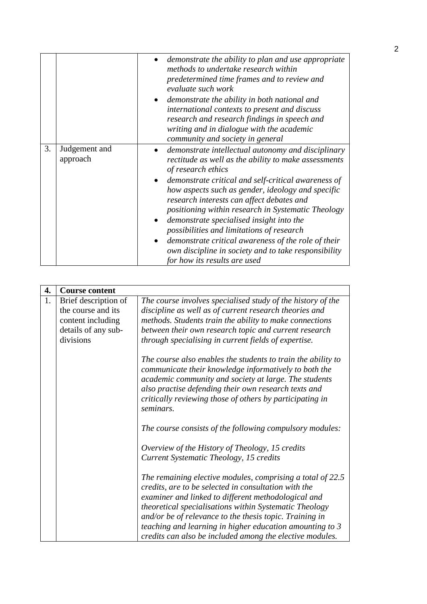|    |                           | demonstrate the ability to plan and use appropriate<br>methods to undertake research within<br>predetermined time frames and to review and<br>evaluate such work<br>demonstrate the ability in both national and<br>international contexts to present and discuss<br>research and research findings in speech and<br>writing and in dialogue with the academic<br>community and society in general                                                                                                                                                                                      |
|----|---------------------------|-----------------------------------------------------------------------------------------------------------------------------------------------------------------------------------------------------------------------------------------------------------------------------------------------------------------------------------------------------------------------------------------------------------------------------------------------------------------------------------------------------------------------------------------------------------------------------------------|
| 3. | Judgement and<br>approach | demonstrate intellectual autonomy and disciplinary<br>rectitude as well as the ability to make assessments<br>of research ethics<br>demonstrate critical and self-critical awareness of<br>how aspects such as gender, ideology and specific<br>research interests can affect debates and<br>positioning within research in Systematic Theology<br>demonstrate specialised insight into the<br>possibilities and limitations of research<br>demonstrate critical awareness of the role of their<br>own discipline in society and to take responsibility<br>for how its results are used |

| 4. | <b>Course content</b> |                                                                                                                                                                                                                                                                                                                                                                                                                        |
|----|-----------------------|------------------------------------------------------------------------------------------------------------------------------------------------------------------------------------------------------------------------------------------------------------------------------------------------------------------------------------------------------------------------------------------------------------------------|
| 1. | Brief description of  | The course involves specialised study of the history of the                                                                                                                                                                                                                                                                                                                                                            |
|    | the course and its    | discipline as well as of current research theories and                                                                                                                                                                                                                                                                                                                                                                 |
|    | content including     | methods. Students train the ability to make connections                                                                                                                                                                                                                                                                                                                                                                |
|    |                       |                                                                                                                                                                                                                                                                                                                                                                                                                        |
|    | details of any sub-   | between their own research topic and current research                                                                                                                                                                                                                                                                                                                                                                  |
|    | divisions             | through specialising in current fields of expertise.                                                                                                                                                                                                                                                                                                                                                                   |
|    |                       | The course also enables the students to train the ability to<br>communicate their knowledge informatively to both the<br>academic community and society at large. The students<br>also practise defending their own research texts and<br>critically reviewing those of others by participating in<br>seminars.                                                                                                        |
|    |                       | The course consists of the following compulsory modules:                                                                                                                                                                                                                                                                                                                                                               |
|    |                       | Overview of the History of Theology, 15 credits<br>Current Systematic Theology, 15 credits                                                                                                                                                                                                                                                                                                                             |
|    |                       | The remaining elective modules, comprising a total of 22.5<br>credits, are to be selected in consultation with the<br>examiner and linked to different methodological and<br>theoretical specialisations within Systematic Theology<br>and/or be of relevance to the thesis topic. Training in<br>teaching and learning in higher education amounting to 3<br>credits can also be included among the elective modules. |